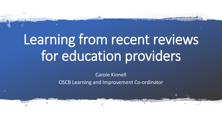# Learning from recent reviews for education providers

Carole Kinnell OSCB Learning and Improvement Co-ordinator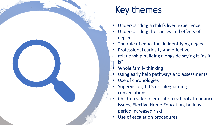### Key themes

- Understanding a child's lived experience
- Understanding the causes and effects of neglect
- The role of educators in identifying neglect
- Professional curiosity and effective
- relationship building alongside saying it "as it is"
- Whole family thinking
- Using early help pathways and assessments
- Use of chronologies
- Supervision, 1:1's or safeguarding conversations
- Children safer in education (school attendance issues, Elective Home Education, holiday period increased risk)
- Use of escalation procedures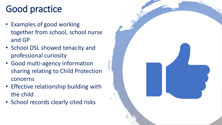## Good practice

- Examples of good working together from school, school nurse and GP
- School DSL showed tenacity and professional curiosity
- Good multi-agency information sharing relating to Child Protection concerns
- Effective relationship building with the child
- School records clearly cited risks